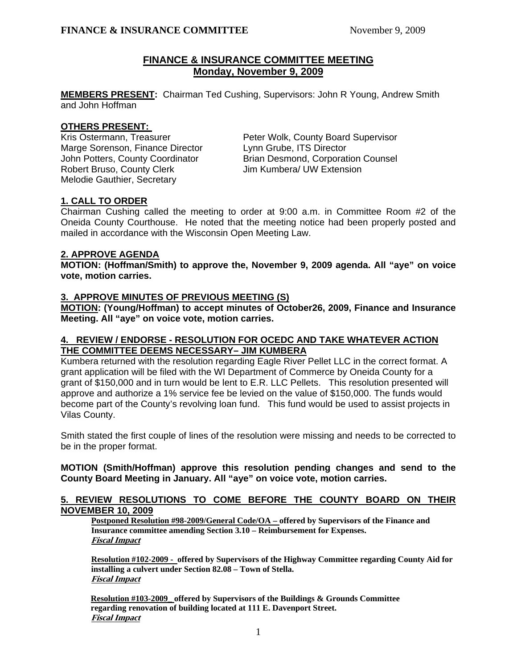# **FINANCE & INSURANCE COMMITTEE MEETING Monday, November 9, 2009**

**MEMBERS PRESENT:** Chairman Ted Cushing, Supervisors: John R Young, Andrew Smith and John Hoffman

### **OTHERS PRESENT:**

Marge Sorenson, Finance Director Lynn Grube, ITS Director Robert Bruso, County Clerk Jim Kumbera/ UW Extension Melodie Gauthier, Secretary

Kris Ostermann, Treasurer **Peter Wolk, County Board Supervisor** John Potters, County Coordinator Brian Desmond, Corporation Counsel

## **1. CALL TO ORDER**

Chairman Cushing called the meeting to order at 9:00 a.m. in Committee Room #2 of the Oneida County Courthouse. He noted that the meeting notice had been properly posted and mailed in accordance with the Wisconsin Open Meeting Law.

## **2. APPROVE AGENDA**

**MOTION: (Hoffman/Smith) to approve the, November 9, 2009 agenda. All "aye" on voice vote, motion carries.** 

## **3. APPROVE MINUTES OF PREVIOUS MEETING (S)**

**MOTION: (Young/Hoffman) to accept minutes of October26, 2009, Finance and Insurance Meeting. All "aye" on voice vote, motion carries.** 

## **4. REVIEW / ENDORSE - RESOLUTION FOR OCEDC AND TAKE WHATEVER ACTION THE COMMITTEE DEEMS NECESSARY– JIM KUMBERA**

Kumbera returned with the resolution regarding Eagle River Pellet LLC in the correct format. A grant application will be filed with the WI Department of Commerce by Oneida County for a grant of \$150,000 and in turn would be lent to E.R. LLC Pellets. This resolution presented will approve and authorize a 1% service fee be levied on the value of \$150,000. The funds would become part of the County's revolving loan fund. This fund would be used to assist projects in Vilas County.

Smith stated the first couple of lines of the resolution were missing and needs to be corrected to be in the proper format.

## **MOTION (Smith/Hoffman) approve this resolution pending changes and send to the County Board Meeting in January. All "aye" on voice vote, motion carries.**

## **5. REVIEW RESOLUTIONS TO COME BEFORE THE COUNTY BOARD ON THEIR NOVEMBER 10, 2009**

**Postponed Resolution #98-2009/General Code/OA – offered by Supervisors of the Finance and Insurance committee amending Section 3.10 – Reimbursement for Expenses. Fiscal Impact**

**Resolution #102-2009 - offered by Supervisors of the Highway Committee regarding County Aid for installing a culvert under Section 82.08 – Town of Stella. Fiscal Impact**

 **Resolution #103-2009\_ offered by Supervisors of the Buildings & Grounds Committee regarding renovation of building located at 111 E. Davenport Street. Fiscal Impact**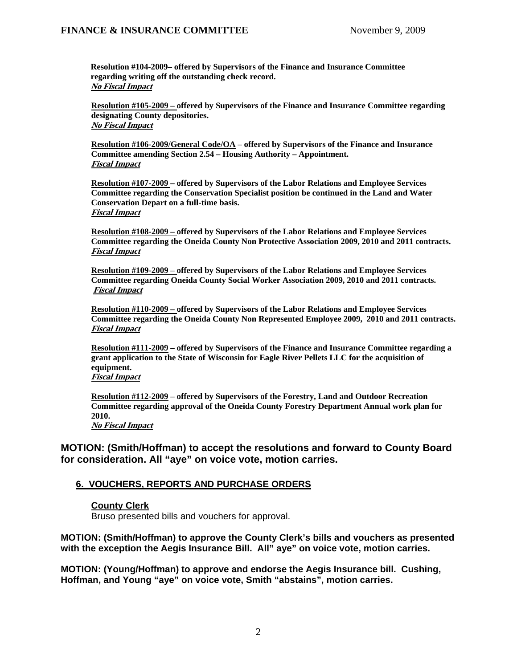**Resolution #104-2009– offered by Supervisors of the Finance and Insurance Committee regarding writing off the outstanding check record. No Fiscal Impact**

**Resolution #105-2009 – offered by Supervisors of the Finance and Insurance Committee regarding designating County depositories. No Fiscal Impact**

**Resolution #106-2009/General Code/OA – offered by Supervisors of the Finance and Insurance Committee amending Section 2.54 – Housing Authority – Appointment. Fiscal Impact**

**Resolution #107-2009 – offered by Supervisors of the Labor Relations and Employee Services Committee regarding the Conservation Specialist position be continued in the Land and Water Conservation Depart on a full-time basis. Fiscal Impact**

**Resolution #108-2009 – offered by Supervisors of the Labor Relations and Employee Services Committee regarding the Oneida County Non Protective Association 2009, 2010 and 2011 contracts. Fiscal Impact**

**Resolution #109-2009 – offered by Supervisors of the Labor Relations and Employee Services Committee regarding Oneida County Social Worker Association 2009, 2010 and 2011 contracts. Fiscal Impact**

**Resolution #110-2009 – offered by Supervisors of the Labor Relations and Employee Services Committee regarding the Oneida County Non Represented Employee 2009, 2010 and 2011 contracts. Fiscal Impact**

**Resolution #111-2009 – offered by Supervisors of the Finance and Insurance Committee regarding a grant application to the State of Wisconsin for Eagle River Pellets LLC for the acquisition of equipment. Fiscal Impact**

**Resolution #112-2009 – offered by Supervisors of the Forestry, Land and Outdoor Recreation Committee regarding approval of the Oneida County Forestry Department Annual work plan for 2010.** 

**No Fiscal Impact**

**MOTION: (Smith/Hoffman) to accept the resolutions and forward to County Board for consideration. All "aye" on voice vote, motion carries.** 

## **6. VOUCHERS, REPORTS AND PURCHASE ORDERS**

#### **County Clerk**

Bruso presented bills and vouchers for approval.

**MOTION: (Smith/Hoffman) to approve the County Clerk's bills and vouchers as presented with the exception the Aegis Insurance Bill. All" aye" on voice vote, motion carries.** 

**MOTION: (Young/Hoffman) to approve and endorse the Aegis Insurance bill. Cushing, Hoffman, and Young "aye" on voice vote, Smith "abstains", motion carries.**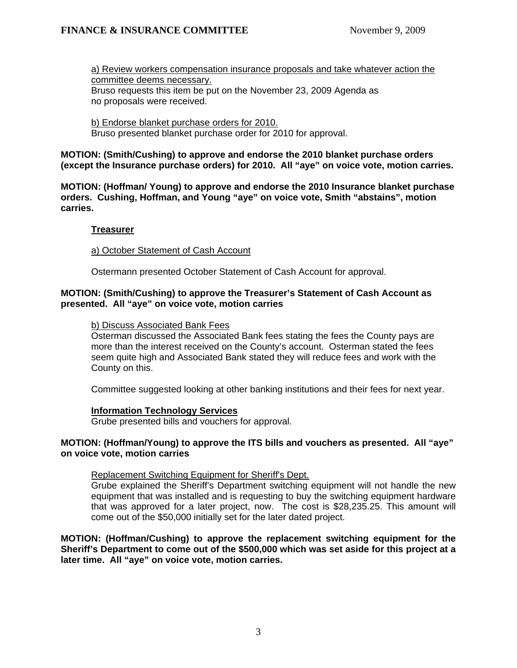a) Review workers compensation insurance proposals and take whatever action the committee deems necessary. Bruso requests this item be put on the November 23, 2009 Agenda as no proposals were received.

b) Endorse blanket purchase orders for 2010. Bruso presented blanket purchase order for 2010 for approval.

**MOTION: (Smith/Cushing) to approve and endorse the 2010 blanket purchase orders (except the Insurance purchase orders) for 2010. All "aye" on voice vote, motion carries.** 

**MOTION: (Hoffman/ Young) to approve and endorse the 2010 Insurance blanket purchase orders. Cushing, Hoffman, and Young "aye" on voice vote, Smith "abstains", motion carries.** 

## **Treasurer**

a) October Statement of Cash Account

Ostermann presented October Statement of Cash Account for approval.

## **MOTION: (Smith/Cushing) to approve the Treasurer's Statement of Cash Account as presented. All "aye" on voice vote, motion carries**

#### b) Discuss Associated Bank Fees

Osterman discussed the Associated Bank fees stating the fees the County pays are more than the interest received on the County's account. Osterman stated the fees seem quite high and Associated Bank stated they will reduce fees and work with the County on this.

Committee suggested looking at other banking institutions and their fees for next year.

#### **Information Technology Services**

Grube presented bills and vouchers for approval.

#### **MOTION: (Hoffman/Young) to approve the ITS bills and vouchers as presented. All "aye" on voice vote, motion carries**

#### Replacement Switching Equipment for Sheriff's Dept.

Grube explained the Sheriff's Department switching equipment will not handle the new equipment that was installed and is requesting to buy the switching equipment hardware that was approved for a later project, now. The cost is \$28,235.25. This amount will come out of the \$50,000 initially set for the later dated project.

**MOTION: (Hoffman/Cushing) to approve the replacement switching equipment for the Sheriff's Department to come out of the \$500,000 which was set aside for this project at a later time. All "aye" on voice vote, motion carries.**